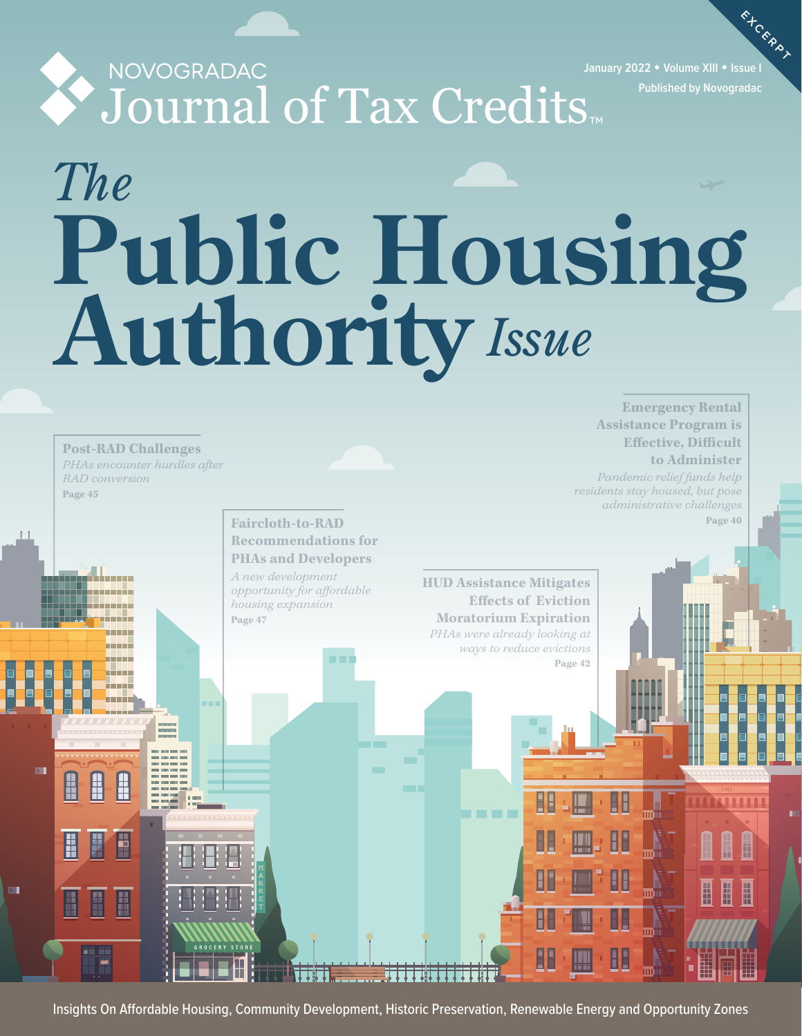January 2022 • Volume XIII • Issue EXCERPT

# NOVOGRADAC Journal of Tax Credits<sub>TM</sub> Published by Novogradac

# **Public Housing Authority** *The Issue*



Insights On Affordable Housing, Community Development, Historic Preservation, Renewable Energy and Opportunity Zones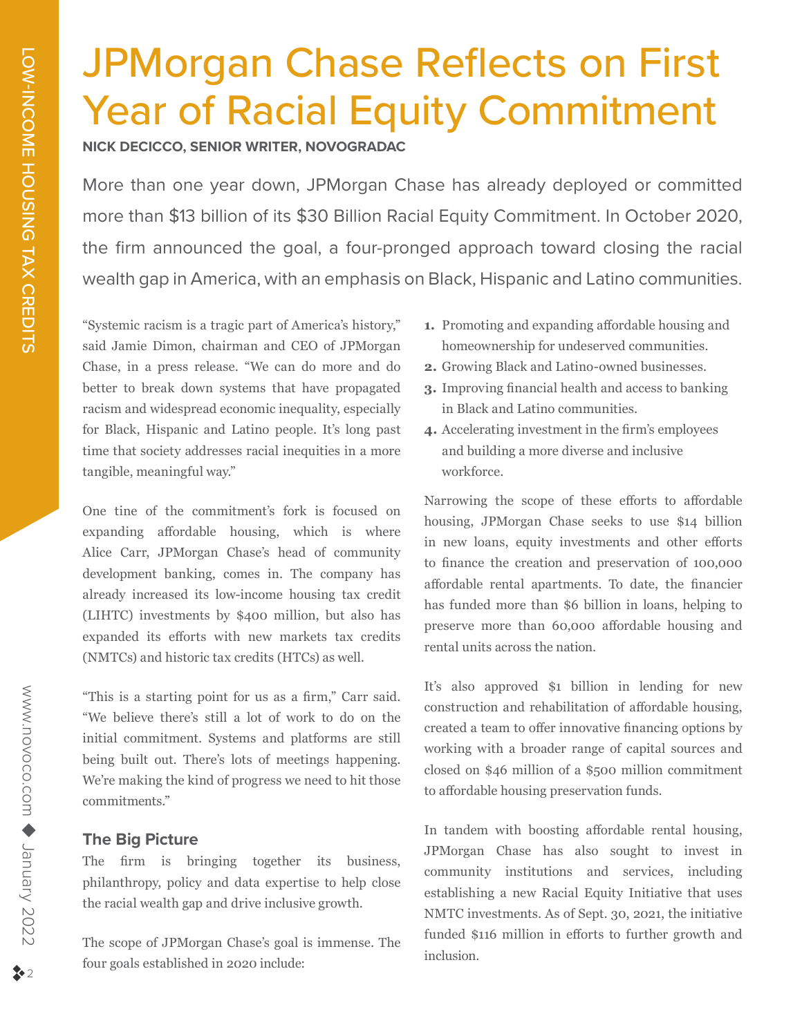# JPMorgan Chase Reflects on First Year of Racial Equity Commitment

**NICK DECICCO, SENIOR WRITER, NOVOGRADAC**

More than one year down, JPMorgan Chase has already deployed or committed more than \$13 billion of its \$30 Billion Racial Equity Commitment. In October 2020, the firm announced the goal, a four-pronged approach toward closing the racial wealth gap in America, with an emphasis on Black, Hispanic and Latino communities.

"Systemic racism is a tragic part of America's history," said Jamie Dimon, chairman and CEO of JPMorgan Chase, in a press release. "We can do more and do better to break down systems that have propagated racism and widespread economic inequality, especially for Black, Hispanic and Latino people. It's long past time that society addresses racial inequities in a more tangible, meaningful way."

One tine of the commitment's fork is focused on expanding affordable housing, which is where Alice Carr, JPMorgan Chase's head of community development banking, comes in. The company has already increased its low-income housing tax credit (LIHTC) investments by \$400 million, but also has expanded its efforts with new markets tax credits (NMTCs) and historic tax credits (HTCs) as well.

"This is a starting point for us as a firm," Carr said. "We believe there's still a lot of work to do on the initial commitment. Systems and platforms are still being built out. There's lots of meetings happening. We're making the kind of progress we need to hit those commitments."

# **The Big Picture**

The firm is bringing together its business, philanthropy, policy and data expertise to help close the racial wealth gap and drive inclusive growth.

The scope of JPMorgan Chase's goal is immense. The four goals established in 2020 include:

- **1.** Promoting and expanding affordable housing and homeownership for undeserved communities.
- **2.** Growing Black and Latino-owned businesses.
- **3.** Improving financial health and access to banking in Black and Latino communities.
- **4.** Accelerating investment in the firm's employees and building a more diverse and inclusive workforce.

Narrowing the scope of these efforts to affordable housing, JPMorgan Chase seeks to use \$14 billion in new loans, equity investments and other efforts to finance the creation and preservation of 100,000 affordable rental apartments. To date, the financier has funded more than \$6 billion in loans, helping to preserve more than 60,000 affordable housing and rental units across the nation.

It's also approved \$1 billion in lending for new construction and rehabilitation of affordable housing, created a team to offer innovative financing options by working with a broader range of capital sources and closed on \$46 million of a \$500 million commitment to affordable housing preservation funds.

In tandem with boosting affordable rental housing, JPMorgan Chase has also sought to invest in community institutions and services, including establishing a new Racial Equity Initiative that uses NMTC investments. As of Sept. 30, 2021, the initiative funded \$116 million in efforts to further growth and inclusion.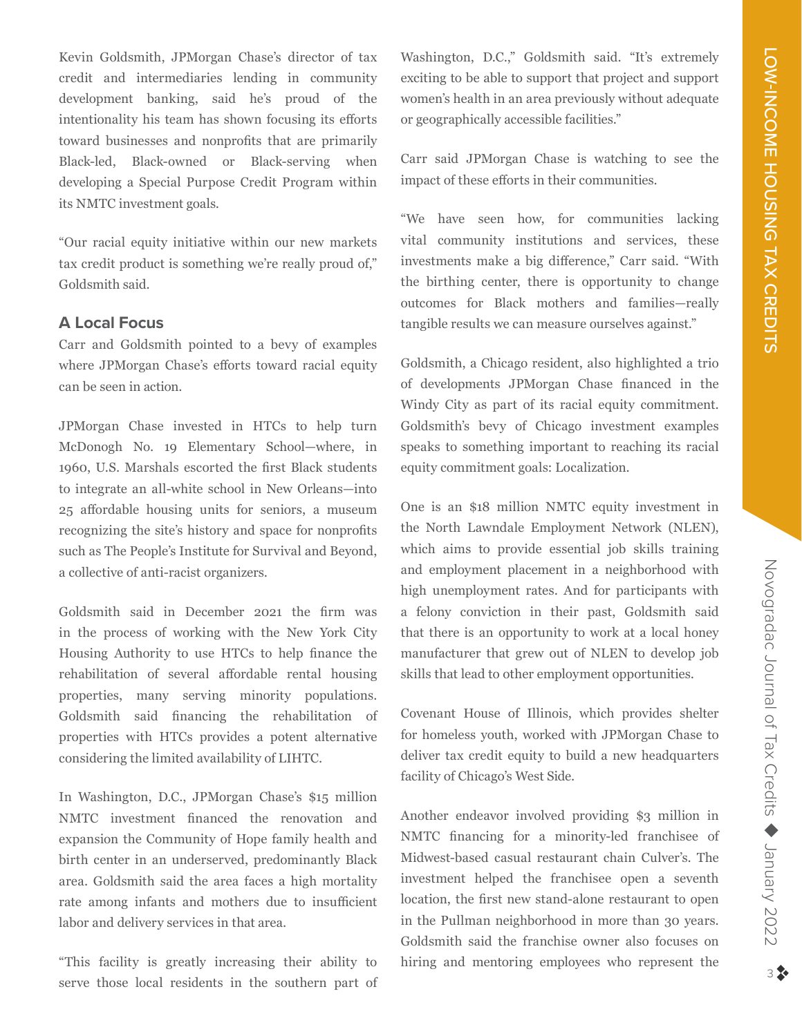Kevin Goldsmith, JPMorgan Chase's director of tax credit and intermediaries lending in community development banking, said he's proud of the intentionality his team has shown focusing its efforts toward businesses and nonprofits that are primarily Black-led, Black-owned or Black-serving when developing a Special Purpose Credit Program within its NMTC investment goals.

"Our racial equity initiative within our new markets tax credit product is something we're really proud of," Goldsmith said.

# **A Local Focus**

Carr and Goldsmith pointed to a bevy of examples where JPMorgan Chase's efforts toward racial equity can be seen in action.

JPMorgan Chase invested in HTCs to help turn McDonogh No. 19 Elementary School—where, in 1960, U.S. Marshals escorted the first Black students to integrate an all-white school in New Orleans—into 25 affordable housing units for seniors, a museum recognizing the site's history and space for nonprofits such as The People's Institute for Survival and Beyond, a collective of anti-racist organizers.

Goldsmith said in December 2021 the firm was in the process of working with the New York City Housing Authority to use HTCs to help finance the rehabilitation of several affordable rental housing properties, many serving minority populations. Goldsmith said financing the rehabilitation of properties with HTCs provides a potent alternative considering the limited availability of LIHTC.

In Washington, D.C., JPMorgan Chase's \$15 million NMTC investment financed the renovation and expansion the Community of Hope family health and birth center in an underserved, predominantly Black area. Goldsmith said the area faces a high mortality rate among infants and mothers due to insufficient labor and delivery services in that area.

"This facility is greatly increasing their ability to serve those local residents in the southern part of Washington, D.C.," Goldsmith said. "It's extremely exciting to be able to support that project and support women's health in an area previously without adequate or geographically accessible facilities."

Carr said JPMorgan Chase is watching to see the impact of these efforts in their communities.

"We have seen how, for communities lacking vital community institutions and services, these investments make a big difference," Carr said. "With the birthing center, there is opportunity to change outcomes for Black mothers and families—really tangible results we can measure ourselves against."

Goldsmith, a Chicago resident, also highlighted a trio of developments JPMorgan Chase financed in the Windy City as part of its racial equity commitment. Goldsmith's bevy of Chicago investment examples speaks to something important to reaching its racial equity commitment goals: Localization.

One is an \$18 million NMTC equity investment in the North Lawndale Employment Network (NLEN), which aims to provide essential job skills training and employment placement in a neighborhood with high unemployment rates. And for participants with a felony conviction in their past, Goldsmith said that there is an opportunity to work at a local honey manufacturer that grew out of NLEN to develop job skills that lead to other employment opportunities.

Covenant House of Illinois, which provides shelter for homeless youth, worked with JPMorgan Chase to deliver tax credit equity to build a new headquarters facility of Chicago's West Side.

Another endeavor involved providing \$3 million in NMTC financing for a minority-led franchisee of Midwest-based casual restaurant chain Culver's. The investment helped the franchisee open a seventh location, the first new stand-alone restaurant to open in the Pullman neighborhood in more than 30 years. Goldsmith said the franchise owner also focuses on hiring and mentoring employees who represent the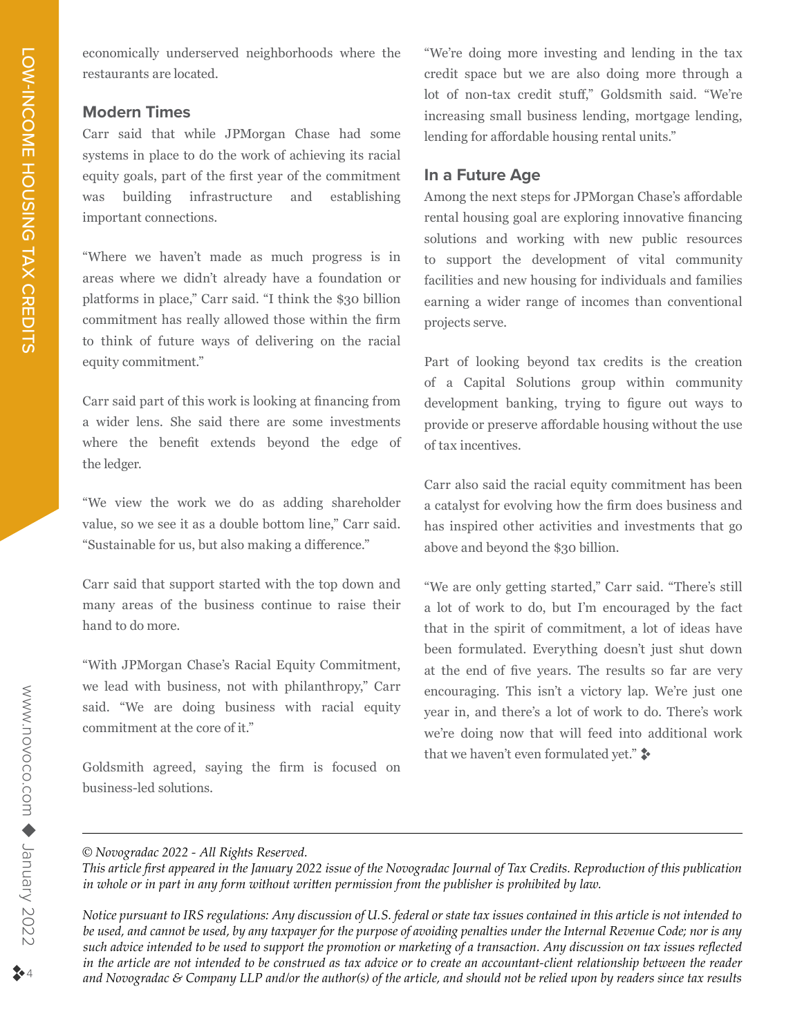economically underserved neighborhoods where the restaurants are located.

### **Modern Times**

Carr said that while JPMorgan Chase had some systems in place to do the work of achieving its racial equity goals, part of the first year of the commitment was building infrastructure and establishing important connections.

"Where we haven't made as much progress is in areas where we didn't already have a foundation or platforms in place," Carr said. "I think the \$30 billion commitment has really allowed those within the firm to think of future ways of delivering on the racial equity commitment."

Carr said part of this work is looking at financing from a wider lens. She said there are some investments where the benefit extends beyond the edge of the ledger.

"We view the work we do as adding shareholder value, so we see it as a double bottom line," Carr said. "Sustainable for us, but also making a difference."

Carr said that support started with the top down and many areas of the business continue to raise their hand to do more.

"With JPMorgan Chase's Racial Equity Commitment, we lead with business, not with philanthropy," Carr said. "We are doing business with racial equity commitment at the core of it."

Goldsmith agreed, saying the firm is focused on business-led solutions.

"We're doing more investing and lending in the tax credit space but we are also doing more through a lot of non-tax credit stuff," Goldsmith said. "We're increasing small business lending, mortgage lending, lending for affordable housing rental units."

### **In a Future Age**

Among the next steps for JPMorgan Chase's affordable rental housing goal are exploring innovative financing solutions and working with new public resources to support the development of vital community facilities and new housing for individuals and families earning a wider range of incomes than conventional projects serve.

Part of looking beyond tax credits is the creation of a Capital Solutions group within community development banking, trying to figure out ways to provide or preserve affordable housing without the use of tax incentives.

Carr also said the racial equity commitment has been a catalyst for evolving how the firm does business and has inspired other activities and investments that go above and beyond the \$30 billion.

"We are only getting started," Carr said. "There's still a lot of work to do, but I'm encouraged by the fact that in the spirit of commitment, a lot of ideas have been formulated. Everything doesn't just shut down at the end of five years. The results so far are very encouraging. This isn't a victory lap. We're just one year in, and there's a lot of work to do. There's work we're doing now that will feed into additional work that we haven't even formulated yet."  $\bullet$ 

#### *© Novogradac 2022 - All Rights Reserved.*

*This article first appeared in the January 2022 issue of the Novogradac Journal of Tax Credits. Reproduction of this publication in whole or in part in any form without written permission from the publisher is prohibited by law.*

*Notice pursuant to IRS regulations: Any discussion of U.S. federal or state tax issues contained in this article is not intended to be used, and cannot be used, by any taxpayer for the purpose of avoiding penalties under the Internal Revenue Code; nor is any such advice intended to be used to support the promotion or marketing of a transaction. Any discussion on tax issues reflected in the article are not intended to be construed as tax advice or to create an accountant-client relationship between the reader and Novogradac & Company LLP and/or the author(s) of the article, and should not be relied upon by readers since tax results*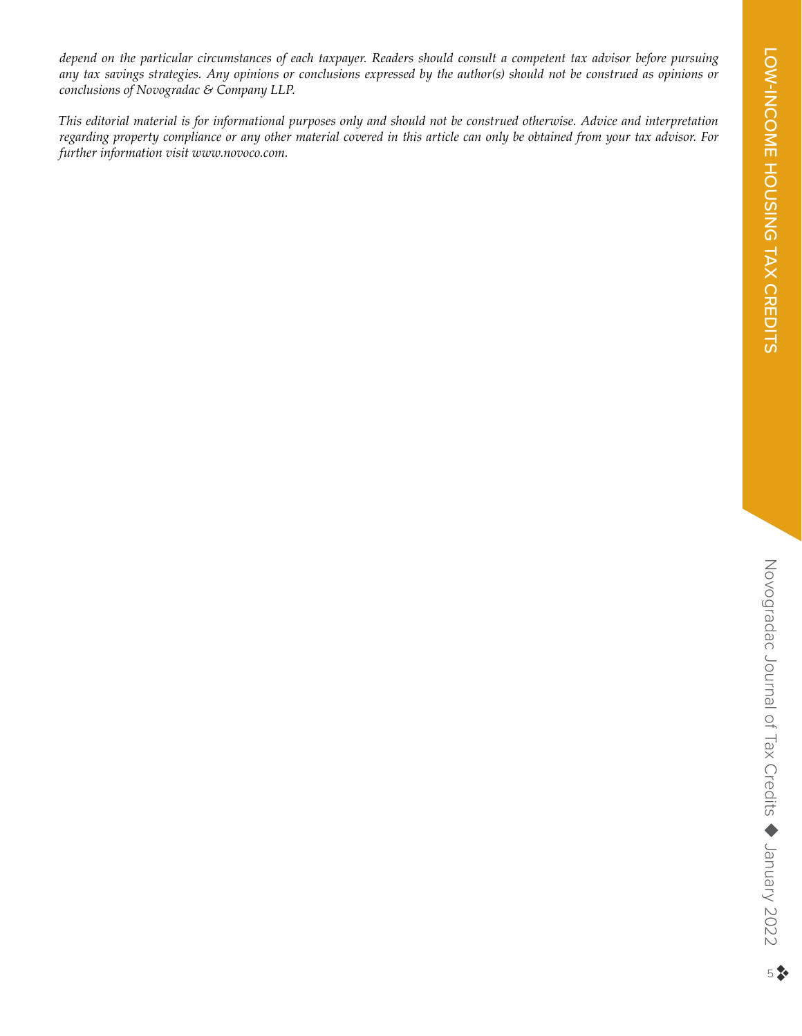*depend on the particular circumstances of each taxpayer. Readers should consult a competent tax advisor before pursuing any tax savings strategies. Any opinions or conclusions expressed by the author(s) should not be construed as opinions or conclusions of Novogradac & Company LLP.* 

*This editorial material is for informational purposes only and should not be construed otherwise. Advice and interpretation regarding property compliance or any other material covered in this article can only be obtained from your tax advisor. For further information visit www.novoco.com.*